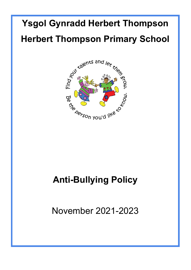# **Ysgol Gynradd Herbert Thompson Herbert Thompson Primary School**



# **Anti-Bullying Policy**

November 2021-2023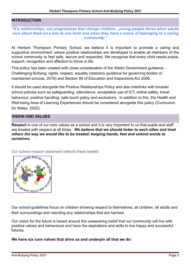#### **INTRODUCTION**

#### *"It's relationships, not programmes that change children…young people thrive when adults care about them on a one to one level and when they have a sense of belonging to a caring community."*

At Herbert Thompson Primary School, we believe it is important to promote a caring and supportive environment, where positive relationships are developed to enable all members of the school community to feel safe, secure and respected. We recognise that every child needs praise, support, recognition and affection to thrive in life.

This policy has been created with close consideration of the Welsh Government guidance - Challenging Bullying: rights, respect, equality (statutory guidance for governing bodies of maintained schools, 2019) and Section 89 of Education and Inspections Act 2006.

It should be used alongside the Positive Relationships Policy and also interlinks with broader school policies such as safeguarding, attendance, acceptable use of ICT, online safety, travel behaviour, positive handling, safe touch policy and exclusions. In addition to this, the Health and Well-being Area of Learning Experiences should be considered alongside this policy (Curriculum for Wales, 2022).

#### **VISION AND VALUES**

**Respect** is one of our core values as a school and it is very important to us that pupils and staff are treated with respect at all times. *We believe that we should listen to each other and treat others the way we would like to be treated; keeping hands, feet and unkind words to ourselves.*

talen  $\overline{e_{r}}$ 1001 ಜ 36.<br>36. berson you'd like

Our school mission statement reflects these beliefs:

Our school guidelines focus on children showing respect to themselves, all children, all adults and their surroundings and mending any relationships that are harmed.

Our vision for the future is based around the unwavering belief that our community will live with positive values and behaviours and have the aspirations and skills to live happy and successful futures**.**

**We have six core values that drive us and underpin all that we do:**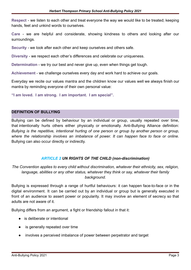**Respect** - we listen to each other and treat everyone the way we would like to be treated; keeping hands, feet and unkind words to ourselves.

**Care** - we are helpful and considerate, showing kindness to others and looking after our surroundings.

**Security** - we look after each other and keep ourselves and others safe.

**Diversity** - we respect each other's differences and celebrate our uniqueness.

**Determination** - we try our best and never give up, even when things get tough.

**Achievement** - we challenge ourselves every day and work hard to achieve our goals.

Everyday we recite our values mantra and the children know our values well we always finish our mantra by reminding everyone of their own personal value:

**"I am loved. I am strong. I am important. I am special".**

#### **DEFINITION OF BULLYING**

Bullying can be defined by behaviour by an individual or group, usually repeated over time, that intentionally hurts others either physically or emotionally. Anti-Bullying Alliance definition: *Bullying is the repetitive, intentional hurting of one person or group by another person or group, where the relationship involves an imbalance of power. It can happen face to face or online.* Bullying can also occur directly or indirectly.

#### *ARTICLE 2 UN RIGHTS OF THE CHILD (non-discrimination)*

*The Convention applies to every child without discrimination, whatever their ethnicity, sex, religion, language, abilities or any other status, whatever they think or say, whatever their family background.*

Bullying is expressed through a range of hurtful behaviours: it can happen face-to-face or in the digital environment. It can be carried out by an individual or group but is generally executed in front of an audience to assert power or popularity. It may involve an element of secrecy so that adults are not aware of it.

Bullying differs from an argument, a fight or friendship fallout in that it:

- is deliberate or intentional
- is generally repeated over time
- involves a perceived imbalance of power between perpetrator and target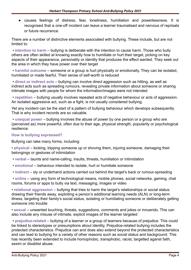● causes feelings of distress, fear, loneliness, humiliation and powerlessness. It is recognised that a one-off incident can leave a learner traumatised and nervous of reprisals or future recurrence.

There are a number of distinctive elements associated with bullying. These include, but are not limited to:

• **intention to harm** – bullying is deliberate with the intention to cause harm. Those who bully others are often skilled at knowing exactly how to humiliate or hurt their target, picking on key aspects of their appearance, personality or identity that produces the effect wanted. They seek out the area in which they have power over their target

• **harmful outcome** – someone or a group is hurt physically or emotionally. They can be isolated, humiliated or made fearful. Their sense of self-worth is reduced

• **direct or indirect acts** – bullying can involve direct aggression such as hitting, as well as indirect acts such as spreading rumours, revealing private information about someone or sharing intimate images with people for whom the information/images were not intended

• **repetition** – bullying usually involves repeated acts of negative behaviour or acts of aggression. An isolated aggressive act, such as a fight, is not usually considered bullying.

Yet any incident can be the start of a pattern of bullying behaviour which develops subsequently. That is why incident records are so valuable.

• **unequal power** – bullying involves the abuse of power by one person or a group who are (perceived as) more powerful, often due to their age, physical strength, popularity or psychological resilience.

#### **How is bullying expressed?**

Bullying can take many forms, including:

• **physical** – kicking, tripping someone up or shoving them, injuring someone, damaging their belongings or gestures of intimidation

- **verbal** taunts and name-calling, insults, threats, humiliation or intimidation
- **emotional** behaviour intended to isolate, hurt or humiliate someone
- **indirect** sly or underhand actions carried out behind the target's back or rumour-spreading

• **online** – using any form of technological means, mobile phones, social networks, gaming, chat rooms, forums or apps to bully via text, messaging, images or video

• **relational aggression –** bullying that tries to harm the target's relationships or social status: drawing their friends away, exploiting a person's additional learning needs (ALN) or long-term illness, targeting their family's social status, isolating or humiliating someone or deliberately getting someone into trouble

• **sexual** – unwanted touching, threats, suggestions, comments and jokes or innuendo. This can also include any misuse of intimate, explicit images of the learner targeted

• **prejudice-related** – bullying of a learner or a group of learners because of prejudice. This could be linked to stereotypes or presumptions about identity. Prejudice-related bullying includes the protected characteristics. Prejudice can and does also extend beyond the protected characteristics and can lead to bullying for a variety of other reasons such as social status and background. This has recently been extended to include homophobic, transphobic, racist, targetted aganst faith, sexim or disablist abuse.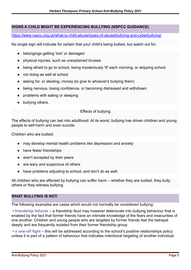# **SIGNS A CHILD MIGHT BE EXPERIENCING BULLYING (NSPCC GUIDANCE)**

<https://www.nspcc.org.uk/what-is-child-abuse/types-of-abuse/bullying-and-cyberbullying/>

No single sign will indicate for certain that your child's being bullied, but watch out for:

- belongings getting 'lost' or damaged
- physical injuries, such as unexplained bruises
- being afraid to go to school, being mysteriously 'ill' each morning, or skipping school
- not doing as well at school
- asking for, or stealing, money (to give to whoever's bullying them)
- being nervous, losing confidence, or becoming distressed and withdrawn
- problems with eating or sleeping
- bullying others.

## Effects of bullying

The effects of bullying can last into adulthood. At its worst, bullying has driven children and young people to self-harm and even suicide.

Children who are bullied:

- may develop mental health problems like depression and anxiety
- have fewer friendships
- aren't accepted by their peers
- are wary and suspicious of others
- have problems adjusting to school, and don't do as well.

All children who are affected by bullying can suffer harm – whether they are bullied, they bully others or they witness bullying

#### **WHAT BULLYING IS NOT:**

The following examples are cases which would not normally be considered bullying:

• **friendship fallouts** – a friendship feud may however deteriorate into bullying behaviour that is enabled by the fact that former friends have an intimate knowledge of the fears and insecurities of one another. Children and young people who are targeted by former friends feel the betrayal deeply and are frequently isolated from their former friendship group

• **a one-off fight** – this will be addressed according to the school's positive relationships policy unless it is part of a pattern of behaviour that indicates intentional targeting of another individual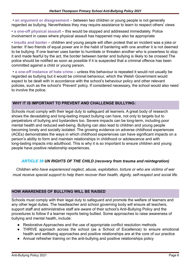• **an argument or disagreement** – between two children or young people is not generally regarded as bullying. Nevertheless they may require assistance to learn to respect others' views

• **a one-off physical assault** – this would be stopped and addressed immediately. Police involvement in cases where physical assault has happened may also be appropriate

• **insults and banter** – children and young people will often protest that an incident was a joke or banter. If two friends of equal power are in the habit of bantering with one another it is not deemed to be bullying. If one learner uses banter to humiliate or threaten another who is powerless to stop it and made fearful by the act, the border between banter and bullying is likely to be crossed The police should be notified as soon as possible if it is suspected that a criminal offence has been committed against a child or young person.

• **a one-off instance of hate crime** – unless this behaviour is repeated it would not usually be regarded as bullying but it would be criminal behaviour, which the Welsh Government would expect to be dealt with in accordance with the school's behaviour policy and other relevant policies, such as the school's 'Prevent' policy. If considered necessary, the school would also need to involve the police.

## **WHY IT IS IMPORTANT TO PREVENT AND CHALLENGE BULLYING:**

Schools must comply with their legal duty to safeguard all learners. A great body of research shows the devastating and long-lasting impact bullying can have, not only to targets but to perpetrators of bullying and bystanders too. Severe impacts can be long-term, including poor mental health and reduced well-being. Bullying can also lead to children and young people becoming lonely and socially isolated. The growing evidence on adverse childhood experiences (ACEs) demonstrates the ways in which childhood experiences can have significant impacts on a person's ability to form and maintain relationships in childhood or adolescence and with long-lasting impacts into adulthood. This is why it is so important to ensure children and young people have positive relationship experiences.

# *ARTICLE 39 UN RIGHTS OF THE CHILD (recovery from trauma and reintegration)*

*Children who have experienced neglect, abuse, exploitation, torture or who are victims of war must receive special support to help them recover their health, dignity, self-respect and social life.*

#### **HOW AWARENESS OF BULLYING WILL BE RAISED**

Schools must comply with their legal duty to safeguard and promote the welfare of learners and any other legal duties. The headteacher and school governing body will ensure all teachers, support staff and administrative staff are aware of their school's Anti-Bullying Policy and the procedures to follow if a learner reports being bullied. Some approaches to raise awareness of bullying and mental health, include:

- Restorative Approaches and the use of appropriate conflict resolution methods
- THRIVE approach across the school (as a School of Excellence) to ensure emotional health and wellbeing approaches and positive relationships are at the core of our practice
- Annual refresher training on the anti-bullying and positive relationships policy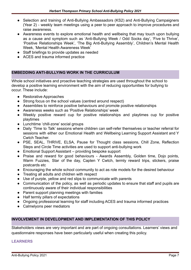- Selection and training of Anti-Bullying Ambassadors (KS2) and Anti-Bullying Campaigners (Year 2) - weekly team meetings using a peer to peer approach to improve procedures and raise awareness.
- Awareness events to explore emotional health and wellbeing that may touch upon bullying as a cause and symptom such as 'Anti-Bullying Week / Odd Socks day', 'Five to Thrive', 'Positive Relationships Week', 'The Big Anti-Bullying Assembly', Children's Mental Health Week, 'Mental Health Awareness Week'
- Staff briefings to provide updates as needed
- ACES and trauma informed practice

## **EMBEDDING ANTI-BULLYING WORK IN THE CURRICULUM**

Whole school initiatives and proactive teaching strategies are used throughout the school to develop a positive learning environment with the aim of reducing opportunities for bullying to occur. These include:

- Restorative Approaches
- Strong focus on the school values (centred around respect)
- Assemblies to reinforce positive behaviours and promote positive relationships
- Awareness weeks such as 'Positive Relationships' week
- Weekly positive reward cup for positive relationships and playtimes cup for positive playtimes
- Lunchtime 'chill-zone' social groups
- Daily 'Time to Talk' sessions where children can self-refer themselves or teacher referral for sessions with either our Emotional Health and Wellbeing Learning Support Assistant and Y Cwtch Teacher.
- PSE, SEAL, THRIVE, ELSA, Pause for Thought class sessions, Chill Zone, Reflection Steps and Circle Time activities are used to support anti-bullying work
- Emotional Support Assistant providing bespoke support
- Praise and reward for good behaviours Awards Assembly, Golden time, Dojo points, Warm Fuzzies, Star of the day, Capten Y Cwtch, termly reward trips, stickers, praise postcards etc
- Encouraging the whole school community to act as role models for the desired behaviour
- Treating all adults and children with respect
- Use of purple, yellow and red slips to communicate with parents
- Communication of the policy, as well as periodic updates to ensure that staff and pupils are continuously aware of their individual responsibilities
- Parent support planning meetings with families
- Half termly pillars of expectations
- Ongoing professional learning for staff including ACES and trauma informed practices
- Calmelyons peer mediators

#### **INVOLVEMENT IN DEVELOPMENT AND IMPLEMENTATION OF THIS POLICY**

Stakeholders views are very important and are part of ongoing consultations. Learners' views and questionnaire responses have been particularly useful when creating this policy.

#### **LEARNERS**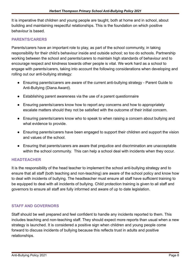It is imperative that children and young people are taught, both at home and in school, about building and maintaining respectful relationships. This is the foundation on which positive behaviour is based.

#### **PARENTS/CARERS**

Parents/carers have an important role to play, as part of the school community, in taking responsibility for their child's behaviour inside and outside school; so too do schools. Partnership working between the school and parents/carers to maintain high standards of behaviour and to encourage respect and kindness towards other people is vital. We work hard as a school to engage with parents/carers, taking into account the following considerations when developing and rolling out our anti-bullying strategy:

- Ensuring parents/carers are aware of the current anti-bullying strategy Parent Guide to Anti-Bullying (Diana Award).
- Establishing parent awareness via the use of a parent questionnaire
- Ensuring parents/carers know how to report any concerns and how to appropriately escalate matters should they not be satisfied with the outcome of their initial concern.
- Ensuring parents/carers know who to speak to when raising a concern about bullying and what evidence to provide.
- Ensuring parents/carers have been engaged to support their children and support the vision and values of the school.
- Ensuring that parents/carers are aware that prejudice and discrimination are unacceptable within the school community. This can help a school deal with incidents when they occur.

#### **HEADTEACHER**

It is the responsibility of the head teacher to implement the school anti-bullying strategy and to ensure that all staff (both teaching and non-teaching) are aware of the school policy and know how to deal with incidents of bullying. The headteacher must ensure all staff have sufficient training to be equipped to deal with all incidents of bullying. Child protection training is given to all staff and governors to ensure all staff are fully informed and aware of up to date legislation.

#### **STAFF AND GOVERNORS**

Staff should be well prepared and feel confident to handle any incidents reported to them. This includes teaching and non-teaching staff. They should expect more reports than usual when a new strategy is launched. It is considered a positive sign when children and young people come forward to discuss incidents of bullying because this reflects trust in adults and positive relationships.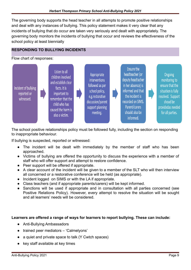The governing body supports the head teacher in all attempts to promote positive relationships and deal with any instances of bullying. This policy statement makes it very clear that any incidents of bullying that do occur are taken very seriously and dealt with appropriately. The governing body monitors the incidents of bullying that occur and reviews the effectiveness of the school policy at least biennially

# **RESPONDING TO BULLYING INCIDENTS**

Flow chart of responses:



The school positive relationships policy must be followed fully, including the section on responding to inappropriate behaviour.

If bullying is suspected, reported or witnessed:

- The incident will be dealt with immediately by the member of staff who has been approached.
- Victims of bullying are offered the opportunity to discuss the experience with a member of staff who will offer support and attempt to restore confidence.
- Peer support will be offered if appropriate.
- A clear account of the incident will be given to a member of the SLT who will then interview all concerned or a restorative conference will be held (as appropriate).
- Incident logged on SIMS or with the LA if appropriate.
- Class teachers (and if appropriate parents/carers) will be kept informed.
- Sanctions will be used if appropriate and in consultation with all parties concerned (see Positive Relations Policy). However, every attempt to resolve the situation will be sought and all learners' needs will be considered.

#### **Learners are offered a range of ways for learners to report bullying. These can include:**

- Anti-Bullying Ambassadors
- trained peer mediators 'Calmelyons'
- a quiet and private space to talk (Y Cwtch spaces)
- key staff available at key times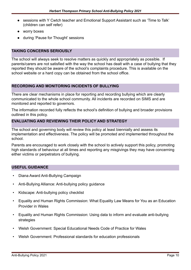- sessions with Y Cwtch teacher and Emotional Support Assistant such as 'Time to Talk' (children can self refer)
- worry boxes
- during 'Pause for Thought' sessions

# **TAKING CONCERNS SERIOUSLY**

The school will always seek to resolve matters as quickly and appropriately as possible. If parents/carers are not satisfied with the way the school has dealt with a case of bullying that they reported they should be aware of the school's complaints procedure. This is available on the school website or a hard copy can be obtained from the school office.

## **RECORDING AND MONITORING INCIDENTS OF BULLYING**

There are clear mechanisms in place for reporting and recording bullying which are clearly communicated to the whole school community. All incidents are recorded on SIMS and are monitored and reported to governors.

The information recorded fully reflects the school's definition of bullying and broader provisions outlined in this policy.

## **EVALUATING AND REVIEWING THEIR POLICY AND STRATEGY**

The school and governing body will review this policy at least biennially and assess its implementation and effectiveness. The policy will be promoted and implemented throughout the school.

Parents are encouraged to work closely with the school to actively support this policy, promoting high standards of behaviour at all times and reporting any misgivings they may have concerning either victims or perpetrators of bullying.

#### **USEFUL GUIDANCE**

- Diana Award Anti-Bullying Campaign
- Anti-Bullying Alliance: Anti-bullying policy guidance
- Kidscape: Anti-bullying policy checklist
- Equality and Human Rights Commission: What Equality Law Means for You as an Education Provider in Wales
- Equality and Human Rights Commission: Using data to inform and evaluate anti-bullying **strategies**
- Welsh Government: Special Educational Needs Code of Practice for Wales
- Welsh Government: Professional standards for education professionals